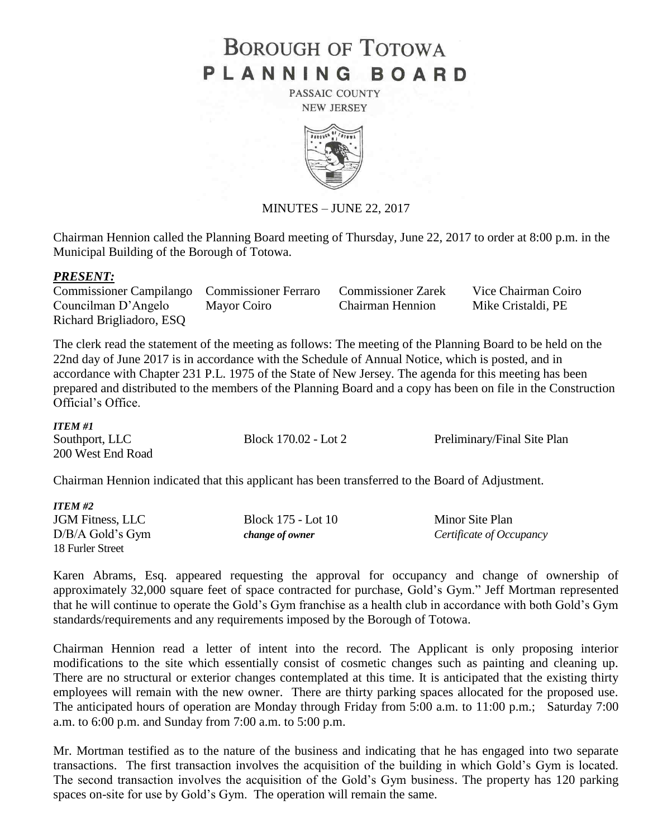# **BOROUGH OF TOTOWA** PLANNING BOARD

PASSAIC COUNTY **NEW JERSEY** 



MINUTES – JUNE 22, 2017

Chairman Hennion called the Planning Board meeting of Thursday, June 22, 2017 to order at 8:00 p.m. in the Municipal Building of the Borough of Totowa.

## *PRESENT:*

| <b>Commissioner Campilango</b> Commissioner Ferraro |             | <b>Commissioner Zarek</b> | Vice Chairman Coiro |
|-----------------------------------------------------|-------------|---------------------------|---------------------|
| Councilman D'Angelo                                 | Mayor Coiro | Chairman Hennion          | Mike Cristaldi, PE  |
| Richard Brigliadoro, ESQ                            |             |                           |                     |

The clerk read the statement of the meeting as follows: The meeting of the Planning Board to be held on the 22nd day of June 2017 is in accordance with the Schedule of Annual Notice, which is posted, and in accordance with Chapter 231 P.L. 1975 of the State of New Jersey. The agenda for this meeting has been prepared and distributed to the members of the Planning Board and a copy has been on file in the Construction Official's Office.

#### *ITEM #1*

| 11 LW TI          |                      |                             |
|-------------------|----------------------|-----------------------------|
| Southport, LLC    | Block 170.02 - Lot 2 | Preliminary/Final Site Plan |
| 200 West End Road |                      |                             |

Chairman Hennion indicated that this applicant has been transferred to the Board of Adjustment.

| <b>ITEM #2</b>          |                    |                          |
|-------------------------|--------------------|--------------------------|
| <b>JGM</b> Fitness, LLC | Block 175 - Lot 10 | Minor Site Plan          |
| $D/B/A$ Gold's Gym      | change of owner    | Certificate of Occupancy |
| 18 Furler Street        |                    |                          |

Karen Abrams, Esq. appeared requesting the approval for occupancy and change of ownership of approximately 32,000 square feet of space contracted for purchase, Gold's Gym." Jeff Mortman represented that he will continue to operate the Gold's Gym franchise as a health club in accordance with both Gold's Gym standards/requirements and any requirements imposed by the Borough of Totowa.

Chairman Hennion read a letter of intent into the record. The Applicant is only proposing interior modifications to the site which essentially consist of cosmetic changes such as painting and cleaning up. There are no structural or exterior changes contemplated at this time. It is anticipated that the existing thirty employees will remain with the new owner. There are thirty parking spaces allocated for the proposed use. The anticipated hours of operation are Monday through Friday from 5:00 a.m. to 11:00 p.m.; Saturday 7:00 a.m. to 6:00 p.m. and Sunday from 7:00 a.m. to 5:00 p.m.

Mr. Mortman testified as to the nature of the business and indicating that he has engaged into two separate transactions. The first transaction involves the acquisition of the building in which Gold's Gym is located. The second transaction involves the acquisition of the Gold's Gym business. The property has 120 parking spaces on-site for use by Gold's Gym. The operation will remain the same.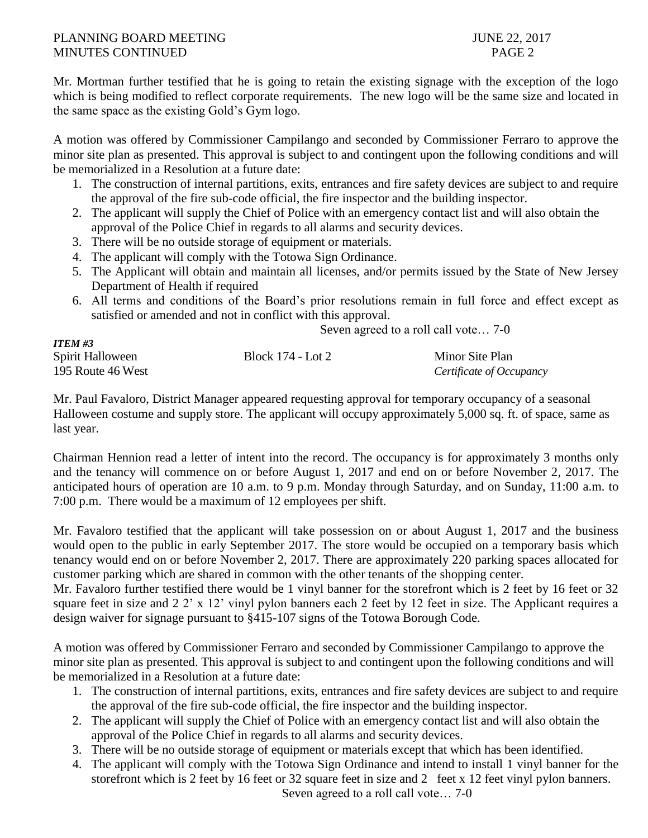# PLANNING BOARD MEETING 30 and 22, 2017 MINUTES CONTINUED **PAGE 2**

*ITEM #3*

Mr. Mortman further testified that he is going to retain the existing signage with the exception of the logo which is being modified to reflect corporate requirements. The new logo will be the same size and located in the same space as the existing Gold's Gym logo.

A motion was offered by Commissioner Campilango and seconded by Commissioner Ferraro to approve the minor site plan as presented. This approval is subject to and contingent upon the following conditions and will be memorialized in a Resolution at a future date:

- 1. The construction of internal partitions, exits, entrances and fire safety devices are subject to and require the approval of the fire sub-code official, the fire inspector and the building inspector.
- 2. The applicant will supply the Chief of Police with an emergency contact list and will also obtain the approval of the Police Chief in regards to all alarms and security devices.
- 3. There will be no outside storage of equipment or materials.
- 4. The applicant will comply with the Totowa Sign Ordinance.
- 5. The Applicant will obtain and maintain all licenses, and/or permits issued by the State of New Jersey Department of Health if required
- 6. All terms and conditions of the Board's prior resolutions remain in full force and effect except as satisfied or amended and not in conflict with this approval.

Seven agreed to a roll call vote… 7-0

| 11 LIVI 11 J      |                   |                          |
|-------------------|-------------------|--------------------------|
| Spirit Halloween  | Block 174 - Lot 2 | Minor Site Plan          |
| 195 Route 46 West |                   | Certificate of Occupancy |

Mr. Paul Favaloro, District Manager appeared requesting approval for temporary occupancy of a seasonal Halloween costume and supply store. The applicant will occupy approximately 5,000 sq. ft. of space, same as last year.

Chairman Hennion read a letter of intent into the record. The occupancy is for approximately 3 months only and the tenancy will commence on or before August 1, 2017 and end on or before November 2, 2017. The anticipated hours of operation are 10 a.m. to 9 p.m. Monday through Saturday, and on Sunday, 11:00 a.m. to 7:00 p.m. There would be a maximum of 12 employees per shift.

Mr. Favaloro testified that the applicant will take possession on or about August 1, 2017 and the business would open to the public in early September 2017. The store would be occupied on a temporary basis which tenancy would end on or before November 2, 2017. There are approximately 220 parking spaces allocated for customer parking which are shared in common with the other tenants of the shopping center.

Mr. Favaloro further testified there would be 1 vinyl banner for the storefront which is 2 feet by 16 feet or 32 square feet in size and 2 2' x 12' vinyl pylon banners each 2 feet by 12 feet in size. The Applicant requires a design waiver for signage pursuant to §415-107 signs of the Totowa Borough Code.

A motion was offered by Commissioner Ferraro and seconded by Commissioner Campilango to approve the minor site plan as presented. This approval is subject to and contingent upon the following conditions and will be memorialized in a Resolution at a future date:

- 1. The construction of internal partitions, exits, entrances and fire safety devices are subject to and require the approval of the fire sub-code official, the fire inspector and the building inspector.
- 2. The applicant will supply the Chief of Police with an emergency contact list and will also obtain the approval of the Police Chief in regards to all alarms and security devices.
- 3. There will be no outside storage of equipment or materials except that which has been identified.
- 4. The applicant will comply with the Totowa Sign Ordinance and intend to install 1 vinyl banner for the storefront which is 2 feet by 16 feet or 32 square feet in size and 2 feet x 12 feet vinyl pylon banners. Seven agreed to a roll call vote… 7-0